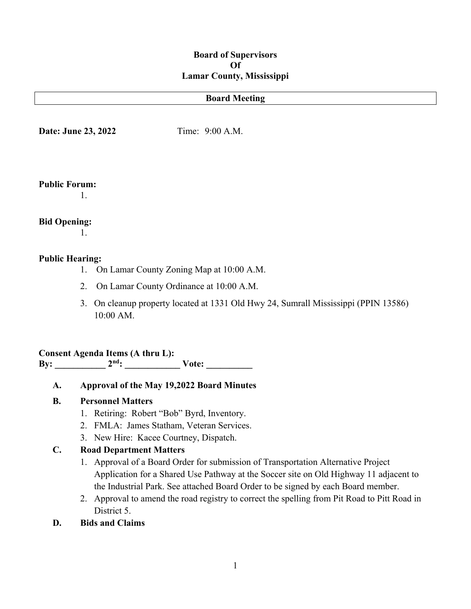## **Board of Supervisors Of Lamar County, Mississippi**

#### **Board Meeting**

**Date: June 23, 2022** Time: 9:00 A.M.

#### **Public Forum:**

1.

# **Bid Opening:**

1.

## **Public Hearing:**

- 1. On Lamar County Zoning Map at 10:00 A.M.
- 2. On Lamar County Ordinance at 10:00 A.M.
- 3. On cleanup property located at 1331 Old Hwy 24, Sumrall Mississippi (PPIN 13586) 10:00 AM.

# **Consent Agenda Items (A thru L):**

**By: \_\_\_\_\_\_\_\_\_\_\_ 2nd: \_\_\_\_\_\_\_\_\_\_\_\_ Vote: \_\_\_\_\_\_\_\_\_\_**

**A. Approval of the May 19,2022 Board Minutes**

## **B. Personnel Matters**

- 1. Retiring: Robert "Bob" Byrd, Inventory.
- 2. FMLA: James Statham, Veteran Services.
- 3. New Hire: Kacee Courtney, Dispatch.

## **C. Road Department Matters**

- 1. Approval of a Board Order for submission of Transportation Alternative Project Application for a Shared Use Pathway at the Soccer site on Old Highway 11 adjacent to the Industrial Park. See attached Board Order to be signed by each Board member.
- 2. Approval to amend the road registry to correct the spelling from Pit Road to Pitt Road in District 5.
- **D. Bids and Claims**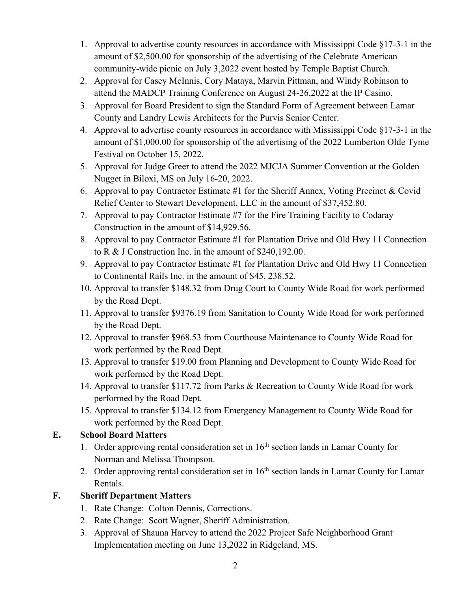- 1. Approval to advertise county resources in accordance with Mississippi Code §17-3-1 in the amount of \$2,500.00 for sponsorship of the advertising of the Celebrate American community-wide picnic on July 3,2022 event hosted by Temple Baptist Church.
- 2. Approval for Casey McInnis, Cory Mataya, Marvin Pittman, and Windy Robinson to attend the MADCP Training Conference on August 24-26,2022 at the IP Casino.
- 3. Approval for Board President to sign the Standard Form of Agreement between Lamar County and Landry Lewis Architects for the Purvis Senior Center.
- 4. Approval to advertise county resources in accordance with Mississippi Code §17-3-1 in the amount of \$1,000.00 for sponsorship of the advertising of the 2022 Lumberton Olde Tyme Festival on October 15, 2022.
- 5. Approval for Judge Greer to attend the 2022 MJCJA Summer Convention at the Golden Nugget in Biloxi, MS on July 16-20, 2022.
- 6. Approval to pay Contractor Estimate #1 for the Sheriff Annex, Voting Precinct & Covid Relief Center to Stewart Development, LLC in the amount of \$37,452.80.
- 7. Approval to pay Contractor Estimate #7 for the Fire Training Facility to Codaray Construction in the amount of \$14,929.56.
- 8. Approval to pay Contractor Estimate #1 for Plantation Drive and Old Hwy 11 Connection to R & J Construction Inc. in the amount of \$240,192.00.
- 9. Approval to pay Contractor Estimate #1 for Plantation Drive and Old Hwy 11 Connection to Continental Rails Inc. in the amount of \$45, 238.52.
- 10. Approval to transfer \$148.32 from Drug Court to County Wide Road for work performed by the Road Dept.
- 11. Approval to transfer \$9376.19 from Sanitation to County Wide Road for work performed by the Road Dept.
- 12. Approval to transfer \$968.53 from Courthouse Maintenance to County Wide Road for work performed by the Road Dept.
- 13. Approval to transfer \$19.00 from Planning and Development to County Wide Road for work performed by the Road Dept.
- 14. Approval to transfer \$117.72 from Parks & Recreation to County Wide Road for work performed by the Road Dept.
- 15. Approval to transfer \$134.12 from Emergency Management to County Wide Road for work performed by the Road Dept.

# **E. School Board Matters**

- 1. Order approving rental consideration set in  $16<sup>th</sup>$  section lands in Lamar County for Norman and Melissa Thompson.
- 2. Order approving rental consideration set in 16<sup>th</sup> section lands in Lamar County for Lamar Rentals.

# **F. Sheriff Department Matters**

- 1. Rate Change: Colton Dennis, Corrections.
- 2. Rate Change: Scott Wagner, Sheriff Administration.
- 3. Approval of Shauna Harvey to attend the 2022 Project Safe Neighborhood Grant Implementation meeting on June 13,2022 in Ridgeland, MS.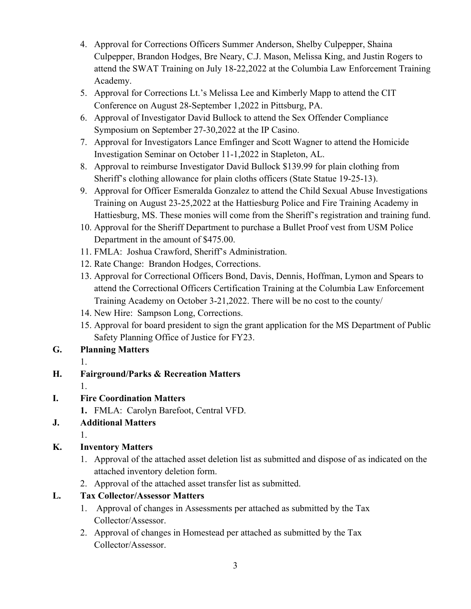- 4. Approval for Corrections Officers Summer Anderson, Shelby Culpepper, Shaina Culpepper, Brandon Hodges, Bre Neary, C.J. Mason, Melissa King, and Justin Rogers to attend the SWAT Training on July 18-22,2022 at the Columbia Law Enforcement Training Academy.
- 5. Approval for Corrections Lt.'s Melissa Lee and Kimberly Mapp to attend the CIT Conference on August 28-September 1,2022 in Pittsburg, PA.
- 6. Approval of Investigator David Bullock to attend the Sex Offender Compliance Symposium on September 27-30,2022 at the IP Casino.
- 7. Approval for Investigators Lance Emfinger and Scott Wagner to attend the Homicide Investigation Seminar on October 11-1,2022 in Stapleton, AL.
- 8. Approval to reimburse Investigator David Bullock \$139.99 for plain clothing from Sheriff's clothing allowance for plain cloths officers (State Statue 19-25-13).
- 9. Approval for Officer Esmeralda Gonzalez to attend the Child Sexual Abuse Investigations Training on August 23-25,2022 at the Hattiesburg Police and Fire Training Academy in Hattiesburg, MS. These monies will come from the Sheriff's registration and training fund.
- 10. Approval for the Sheriff Department to purchase a Bullet Proof vest from USM Police Department in the amount of \$475.00.
- 11. FMLA: Joshua Crawford, Sheriff's Administration.
- 12. Rate Change: Brandon Hodges, Corrections.
- 13. Approval for Correctional Officers Bond, Davis, Dennis, Hoffman, Lymon and Spears to attend the Correctional Officers Certification Training at the Columbia Law Enforcement Training Academy on October 3-21,2022. There will be no cost to the county/
- 14. New Hire: Sampson Long, Corrections.
- 15. Approval for board president to sign the grant application for the MS Department of Public Safety Planning Office of Justice for FY23.
- **G. Planning Matters**
	- 1.
- **H. Fairground/Parks & Recreation Matters**
	- 1.
- **I. Fire Coordination Matters**
	- **1.** FMLA: Carolyn Barefoot, Central VFD.
- **J. Additional Matters**
	- 1.
- **K. Inventory Matters**
	- 1. Approval of the attached asset deletion list as submitted and dispose of as indicated on the attached inventory deletion form.
	- 2. Approval of the attached asset transfer list as submitted.
- **L. Tax Collector/Assessor Matters**
	- 1. Approval of changes in Assessments per attached as submitted by the Tax Collector/Assessor.
	- 2. Approval of changes in Homestead per attached as submitted by the Tax Collector/Assessor.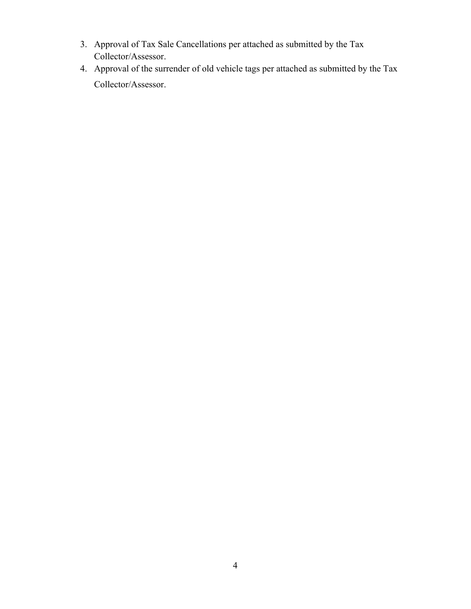- 3. Approval of Tax Sale Cancellations per attached as submitted by the Tax Collector/Assessor.
- 4. Approval of the surrender of old vehicle tags per attached as submitted by the Tax Collector/Assessor.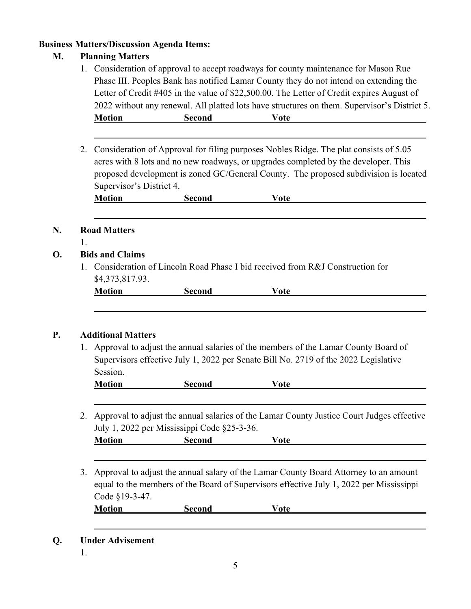## **Business Matters/Discussion Agenda Items:**

# **M. Planning Matters**

- 1. Consideration of approval to accept roadways for county maintenance for Mason Rue Phase III. Peoples Bank has notified Lamar County they do not intend on extending the Letter of Credit #405 in the value of \$22,500.00. The Letter of Credit expires August of 2022 without any renewal. All platted lots have structures on them. Supervisor's District 5. **Motion Second Vote**
- 2. Consideration of Approval for filing purposes Nobles Ridge. The plat consists of 5.05 acres with 8 lots and no new roadways, or upgrades completed by the developer. This proposed development is zoned GC/General County. The proposed subdivision is located Supervisor's District 4.

| <b>Motion</b> | Second | ote |
|---------------|--------|-----|
|               |        |     |

## **N. Road Matters**

1.

## **O. Bids and Claims**

1. Consideration of Lincoln Road Phase I bid received from R&J Construction for \$4,373,817.93.

| <b>Motion</b> | $\frac{1}{2}$<br>w |  |
|---------------|--------------------|--|
|               |                    |  |

## **P. Additional Matters**

1. Approval to adjust the annual salaries of the members of the Lamar County Board of Supervisors effective July 1, 2022 per Senate Bill No. 2719 of the 2022 Legislative Session.

| <b>Motion</b> | Second | ′ote |
|---------------|--------|------|
|               |        |      |

2. Approval to adjust the annual salaries of the Lamar County Justice Court Judges effective July 1, 2022 per Mississippi Code §25-3-36.

| M<br>----<br>uon<br>-- | ----- | nte<br>, |  |
|------------------------|-------|----------|--|
|                        |       |          |  |

3. Approval to adjust the annual salary of the Lamar County Board Attorney to an amount equal to the members of the Board of Supervisors effective July 1, 2022 per Mississippi Code §19-3-47.

**Motion Second Vote**

- **Q. Under Advisement**
	- 1.